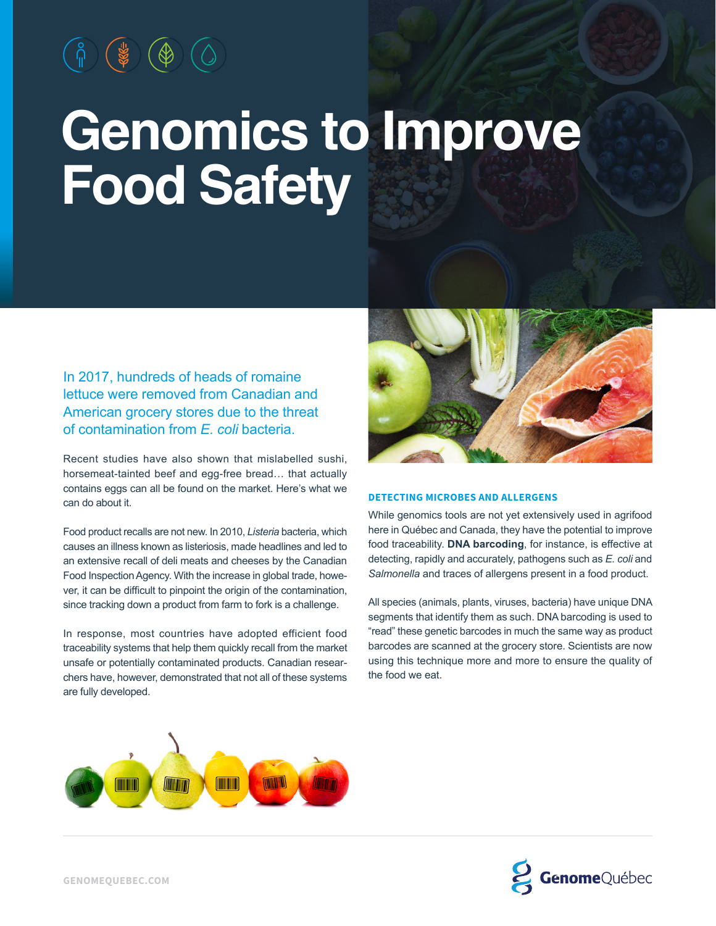# **Genomics to Improve Food Safety**

In 2017, hundreds of heads of romaine lettuce were removed from Canadian and American grocery stores due to the threat of contamination from *E. coli* bacteria.

Recent studies have also shown that mislabelled sushi, horsemeat-tainted beef and egg-free bread… that actually contains eggs can all be found on the market. Here's what we can do about it.

Food product recalls are not new. In 2010, *Listeria* bacteria, which causes an illness known as listeriosis, made headlines and led to an extensive recall of deli meats and cheeses by the Canadian Food Inspection Agency. With the increase in global trade, however, it can be difficult to pinpoint the origin of the contamination, since tracking down a product from farm to fork is a challenge.

In response, most countries have adopted efficient food traceability systems that help them quickly recall from the market unsafe or potentially contaminated products. Canadian researchers have, however, demonstrated that not all of these systems are fully developed.



### **DETECTING MICROBES AND ALLERGENS**

While genomics tools are not yet extensively used in agrifood here in Québec and Canada, they have the potential to improve food traceability. **DNA barcoding**, for instance, is effective at detecting, rapidly and accurately, pathogens such as *E. coli* and *Salmonella* and traces of allergens present in a food product.

All species (animals, plants, viruses, bacteria) have unique DNA segments that identify them as such. DNA barcoding is used to "read" these genetic barcodes in much the same way as product barcodes are scanned at the grocery store. Scientists are now using this technique more and more to ensure the quality of the food we eat.